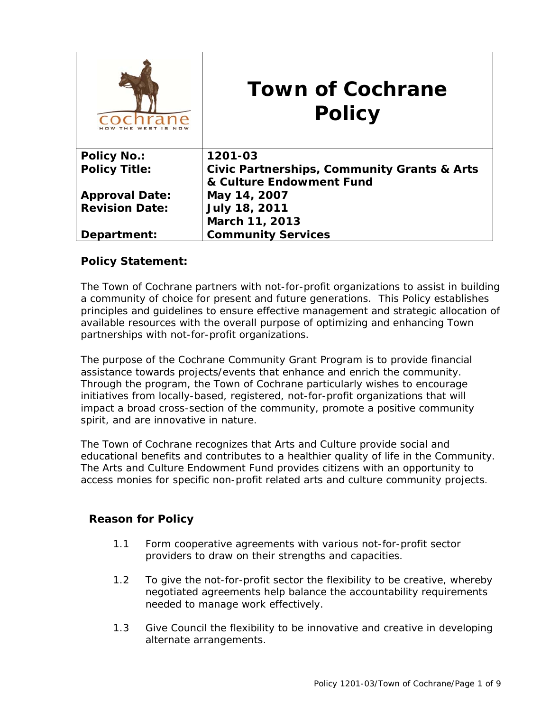|                       | <b>Town of Cochrane</b><br><b>Policy</b>               |
|-----------------------|--------------------------------------------------------|
| <b>Policy No.:</b>    | 1201-03                                                |
| <b>Policy Title:</b>  | <b>Civic Partnerships, Community Grants &amp; Arts</b> |
|                       | & Culture Endowment Fund                               |
| <b>Approval Date:</b> | May 14, 2007                                           |
| <b>Revision Date:</b> | <b>July 18, 2011</b>                                   |
|                       | March 11, 2013                                         |
| Department:           | <b>Community Services</b>                              |

# **Policy Statement:**

The Town of Cochrane partners with not-for-profit organizations to assist in building a community of choice for present and future generations. This Policy establishes principles and guidelines to ensure effective management and strategic allocation of available resources with the overall purpose of optimizing and enhancing Town partnerships with not-for-profit organizations.

The purpose of the Cochrane Community Grant Program is to provide financial assistance towards projects/events that enhance and enrich the community. Through the program, the Town of Cochrane particularly wishes to encourage initiatives from locally-based, registered, not-for-profit organizations that will impact a broad cross-section of the community, promote a positive community spirit, and are innovative in nature.

The Town of Cochrane recognizes that Arts and Culture provide social and educational benefits and contributes to a healthier quality of life in the Community. The Arts and Culture Endowment Fund provides citizens with an opportunity to access monies for specific non-profit related arts and culture community projects.

# **Reason for Policy**

- 1.1 Form cooperative agreements with various not-for-profit sector providers to draw on their strengths and capacities.
- 1.2 To give the not-for-profit sector the flexibility to be creative, whereby negotiated agreements help balance the accountability requirements needed to manage work effectively.
- 1.3 Give Council the flexibility to be innovative and creative in developing alternate arrangements.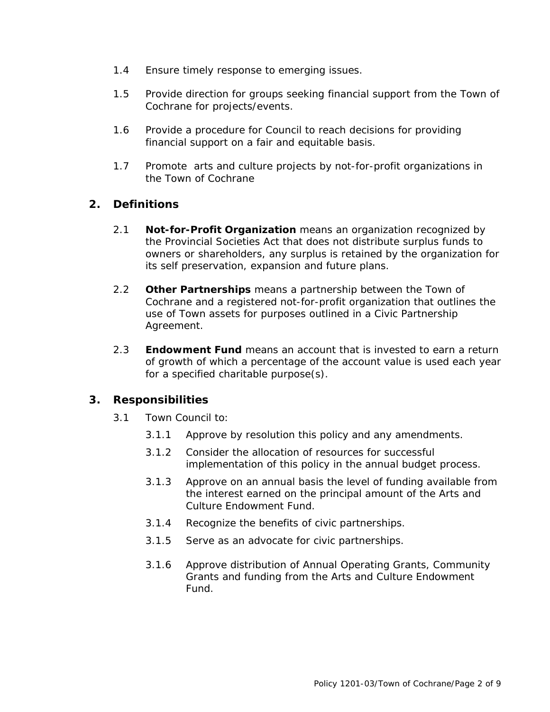- 1.4 Ensure timely response to emerging issues.
- 1.5 Provide direction for groups seeking financial support from the Town of Cochrane for projects/events.
- 1.6 Provide a procedure for Council to reach decisions for providing financial support on a fair and equitable basis.
- 1.7 Promote arts and culture projects by not-for-profit organizations in the Town of Cochrane

# **2. Definitions**

- 2.1 **Not-for-Profit Organization** means an organization recognized by the Provincial Societies Act that does not distribute surplus funds to owners or shareholders, any surplus is retained by the organization for its self preservation, expansion and future plans.
- 2.2 **Other Partnerships** means a partnership between the Town of Cochrane and a registered not-for-profit organization that outlines the use of Town assets for purposes outlined in a Civic Partnership Agreement.
- 2.3 **Endowment Fund** means an account that is invested to earn a return of growth of which a percentage of the account value is used each year for a specified charitable purpose(s).

# **3. Responsibilities**

- 3.1 Town Council to*:* 
	- 3.1.1 Approve by resolution this policy and any amendments.
	- 3.1.2 Consider the allocation of resources for successful implementation of this policy in the annual budget process.
	- 3.1.3 Approve on an annual basis the level of funding available from the interest earned on the principal amount of the Arts and Culture Endowment Fund.
	- 3.1.4 Recognize the benefits of civic partnerships.
	- 3.1.5 Serve as an advocate for civic partnerships.
	- 3.1.6 Approve distribution of Annual Operating Grants, Community Grants and funding from the Arts and Culture Endowment Fund.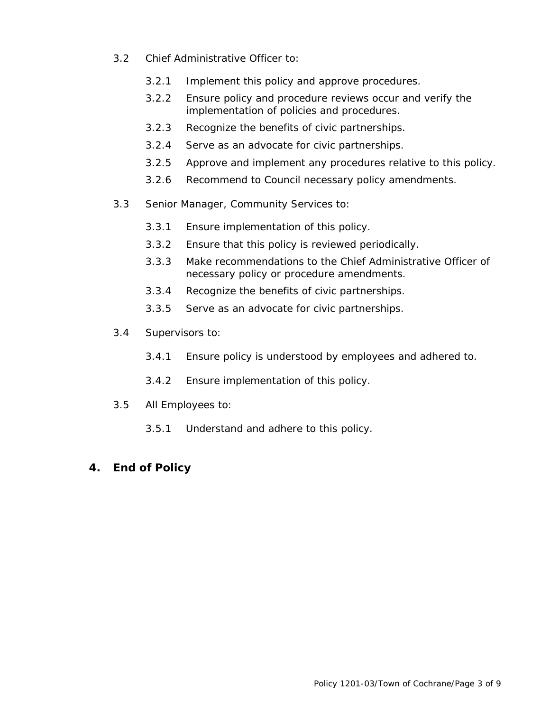- 3.2 Chief Administrative Officer to:
	- 3.2.1 Implement this policy and approve procedures.
	- 3.2.2 Ensure policy and procedure reviews occur and verify the implementation of policies and procedures.
	- 3.2.3 Recognize the benefits of civic partnerships.
	- 3.2.4 Serve as an advocate for civic partnerships.
	- 3.2.5 Approve and implement any procedures relative to this policy.
	- 3.2.6 Recommend to Council necessary policy amendments.
- 3.3 Senior Manager, Community Services to:
	- 3.3.1 Ensure implementation of this policy.
	- 3.3.2 Ensure that this policy is reviewed periodically.
	- 3.3.3 Make recommendations to the Chief Administrative Officer of necessary policy or procedure amendments.
	- 3.3.4 Recognize the benefits of civic partnerships.
	- 3.3.5 Serve as an advocate for civic partnerships.
- 3.4 Supervisors to:
	- 3.4.1 Ensure policy is understood by employees and adhered to.
	- 3.4.2 Ensure implementation of this policy.
- 3.5 All Employees to:
	- 3.5.1 Understand and adhere to this policy.
- **4. End of Policy**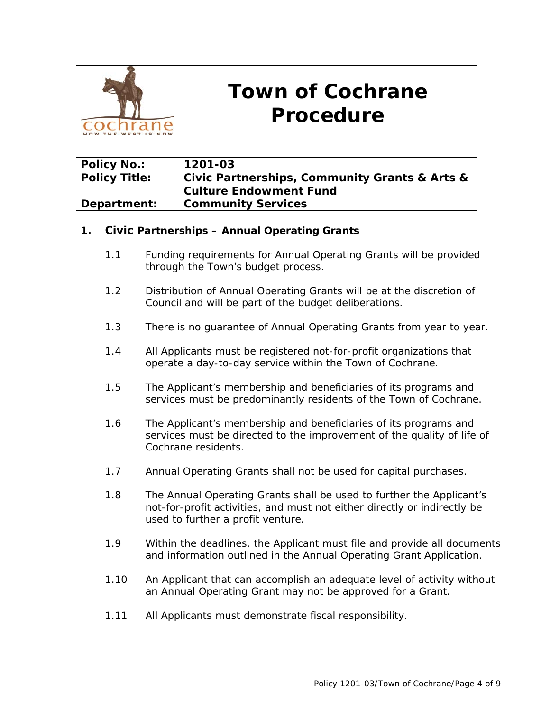|                      | <b>Town of Cochrane</b><br>Procedure          |
|----------------------|-----------------------------------------------|
| <b>Policy No.:</b>   | 1201-03                                       |
| <b>Policy Title:</b> | Civic Partnerships, Community Grants & Arts & |
|                      | <b>Culture Endowment Fund</b>                 |
| Department:          | <b>Community Services</b>                     |

## **1. Civic Partnerships – Annual Operating Grants**

- 1.1 Funding requirements for Annual Operating Grants will be provided through the Town's budget process.
- 1.2 Distribution of Annual Operating Grants will be at the discretion of Council and will be part of the budget deliberations.
- 1.3 There is no guarantee of Annual Operating Grants from year to year.
- 1.4 All Applicants must be registered not-for-profit organizations that operate a day-to-day service within the Town of Cochrane.
- 1.5 The Applicant's membership and beneficiaries of its programs and services must be predominantly residents of the Town of Cochrane.
- 1.6 The Applicant's membership and beneficiaries of its programs and services must be directed to the improvement of the quality of life of Cochrane residents.
- 1.7 Annual Operating Grants shall not be used for capital purchases.
- 1.8 The Annual Operating Grants shall be used to further the Applicant's not-for-profit activities, and must not either directly or indirectly be used to further a profit venture.
- 1.9 Within the deadlines, the Applicant must file and provide all documents and information outlined in the Annual Operating Grant Application.
- 1.10 An Applicant that can accomplish an adequate level of activity without an Annual Operating Grant may not be approved for a Grant.
- 1.11 All Applicants must demonstrate fiscal responsibility.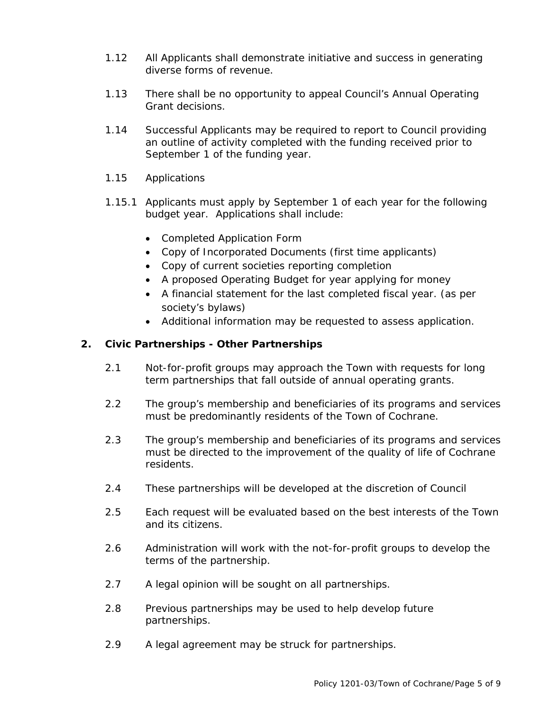- 1.12 All Applicants shall demonstrate initiative and success in generating diverse forms of revenue.
- 1.13 There shall be no opportunity to appeal Council's Annual Operating Grant decisions.
- 1.14 Successful Applicants may be required to report to Council providing an outline of activity completed with the funding received prior to September 1 of the funding year.
- 1.15 Applications
- 1.15.1 Applicants must apply by September 1 of each year for the following budget year. Applications shall include:
	- Completed Application Form
	- Copy of Incorporated Documents (first time applicants)
	- Copy of current societies reporting completion
	- A proposed Operating Budget for year applying for money
	- A financial statement for the last completed fiscal year. (as per society's bylaws)
	- Additional information may be requested to assess application.

### **2. Civic Partnerships - Other Partnerships**

- 2.1 Not-for-profit groups may approach the Town with requests for long term partnerships that fall outside of annual operating grants.
- 2.2 The group's membership and beneficiaries of its programs and services must be predominantly residents of the Town of Cochrane.
- 2.3 The group's membership and beneficiaries of its programs and services must be directed to the improvement of the quality of life of Cochrane residents.
- 2.4 These partnerships will be developed at the discretion of Council
- 2.5 Each request will be evaluated based on the best interests of the Town and its citizens.
- 2.6 Administration will work with the not-for-profit groups to develop the terms of the partnership.
- 2.7 A legal opinion will be sought on all partnerships.
- 2.8 Previous partnerships may be used to help develop future partnerships.
- 2.9 A legal agreement may be struck for partnerships.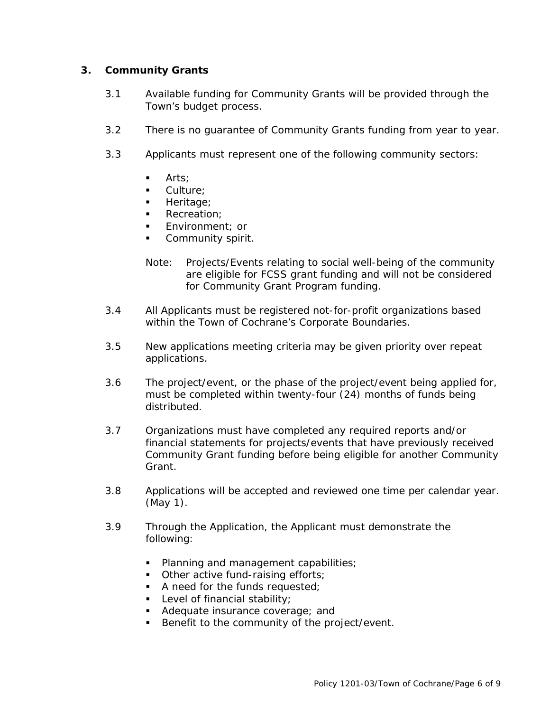## **3. Community Grants**

- 3.1 Available funding for Community Grants will be provided through the Town's budget process.
- 3.2 There is no guarantee of Community Grants funding from year to year.
- 3.3 Applicants must represent one of the following community sectors:
	- **Arts:**
	- Culture;
	- Heritage:
	- Recreation;
	- Environment; or
	- Community spirit.
	- *Note: Projects/Events relating to social well-being of the community are eligible for FCSS grant funding and will not be considered for Community Grant Program funding.*
- 3.4 All Applicants must be registered not-for-profit organizations based within the Town of Cochrane's Corporate Boundaries.
- 3.5 New applications meeting criteria may be given priority over repeat applications.
- 3.6 The project/event, or the phase of the project/event being applied for, must be completed within twenty-four (24) months of funds being distributed.
- 3.7 Organizations must have completed any required reports and/or financial statements for projects/events that have previously received Community Grant funding before being eligible for another Community Grant.
- 3.8 Applications will be accepted and reviewed one time per calendar year. (May 1).
- 3.9 Through the Application, the Applicant must demonstrate the following:
	- Planning and management capabilities;
	- Other active fund-raising efforts;
	- A need for the funds requested;
	- Level of financial stability;
	- Adequate insurance coverage; and
	- Benefit to the community of the project/event.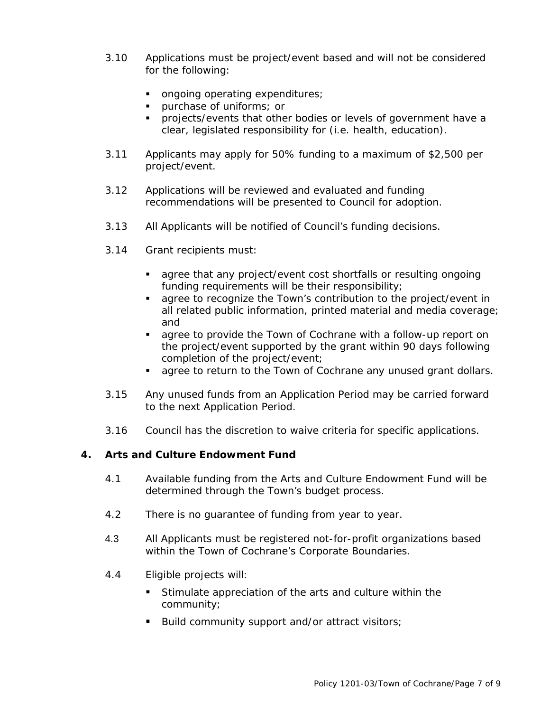- 3.10 Applications must be project/event based and will not be considered for the following:
	- ongoing operating expenditures;
	- purchase of uniforms; or
	- **projects/events that other bodies or levels of government have a** clear, legislated responsibility for (i.e. health, education).
- 3.11 Applicants may apply for 50% funding to a maximum of \$2,500 per project/event.
- 3.12 Applications will be reviewed and evaluated and funding recommendations will be presented to Council for adoption.
- 3.13 All Applicants will be notified of Council's funding decisions.
- 3.14 Grant recipients must:
	- agree that any project/event cost shortfalls or resulting ongoing funding requirements will be their responsibility;
	- agree to recognize the Town's contribution to the project/event in all related public information, printed material and media coverage; and
	- agree to provide the Town of Cochrane with a follow-up report on the project/event supported by the grant within 90 days following completion of the project/event;
	- **agree to return to the Town of Cochrane any unused grant dollars.**
- 3.15 Any unused funds from an Application Period may be carried forward to the next Application Period.
- 3.16 Council has the discretion to waive criteria for specific applications.

### **4. Arts and Culture Endowment Fund**

- 4.1 Available funding from the Arts and Culture Endowment Fund will be determined through the Town's budget process.
- 4.2 There is no guarantee of funding from year to year.
- 4.3 All Applicants must be registered not-for-profit organizations based within the Town of Cochrane's Corporate Boundaries.
- 4.4 Eligible projects will:
	- Stimulate appreciation of the arts and culture within the community;
	- Build community support and/or attract visitors;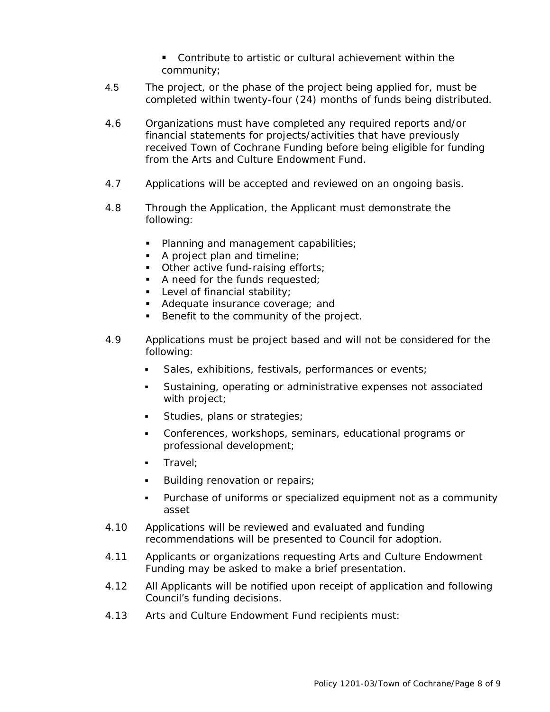- Contribute to artistic or cultural achievement within the community;
- 4.5 The project, or the phase of the project being applied for, must be completed within twenty-four (24) months of funds being distributed.
- 4.6 Organizations must have completed any required reports and/or financial statements for projects/activities that have previously received Town of Cochrane Funding before being eligible for funding from the Arts and Culture Endowment Fund.
- 4.7 Applications will be accepted and reviewed on an ongoing basis.
- 4.8 Through the Application, the Applicant must demonstrate the following:
	- **Planning and management capabilities;**
	- A project plan and timeline;
	- **•** Other active fund-raising efforts;
	- A need for the funds requested;
	- Level of financial stability;
	- Adequate insurance coverage; and
	- Benefit to the community of the project.
- 4.9 Applications must be project based and will not be considered for the following:
	- Sales, exhibitions, festivals, performances or events;
	- Sustaining, operating or administrative expenses not associated with project;
	- **Studies, plans or strategies;**
	- Conferences, workshops, seminars, educational programs or professional development;
	- **Travel:**
	- **Building renovation or repairs;**
	- Purchase of uniforms or specialized equipment not as a community asset
- 4.10 Applications will be reviewed and evaluated and funding recommendations will be presented to Council for adoption.
- 4.11 Applicants or organizations requesting Arts and Culture Endowment Funding may be asked to make a brief presentation.
- 4.12 All Applicants will be notified upon receipt of application and following Council's funding decisions.
- 4.13 Arts and Culture Endowment Fund recipients must: